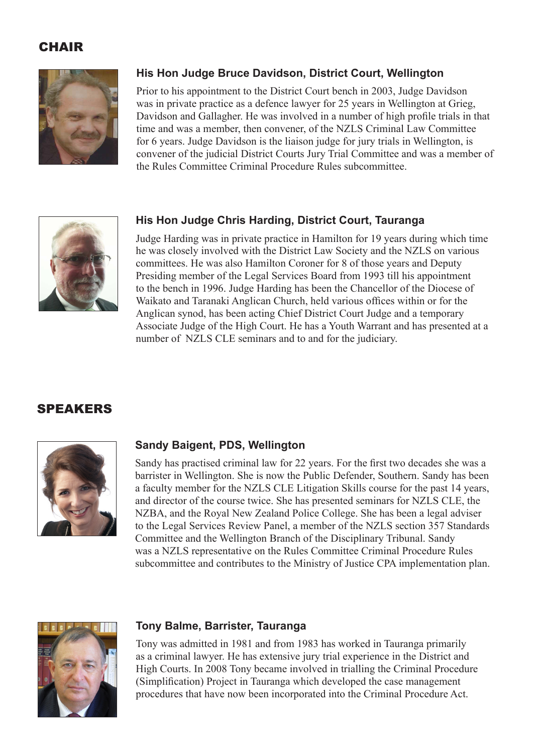# CHAIR



## **His Hon Judge Bruce Davidson, District Court, Wellington**

Prior to his appointment to the District Court bench in 2003, Judge Davidson was in private practice as a defence lawyer for 25 years in Wellington at Grieg, Davidson and Gallagher. He was involved in a number of high profile trials in that time and was a member, then convener, of the NZLS Criminal Law Committee for 6 years. Judge Davidson is the liaison judge for jury trials in Wellington, is convener of the judicial District Courts Jury Trial Committee and was a member of the Rules Committee Criminal Procedure Rules subcommittee.



## **His Hon Judge Chris Harding, District Court, Tauranga**

Judge Harding was in private practice in Hamilton for 19 years during which time he was closely involved with the District Law Society and the NZLS on various committees. He was also Hamilton Coroner for 8 of those years and Deputy Presiding member of the Legal Services Board from 1993 till his appointment to the bench in 1996. Judge Harding has been the Chancellor of the Diocese of Waikato and Taranaki Anglican Church, held various offices within or for the Anglican synod, has been acting Chief District Court Judge and a temporary Associate Judge of the High Court. He has a Youth Warrant and has presented at a number of NZLS CLE seminars and to and for the judiciary.

## **SPEAKERS**



#### **Sandy Baigent, PDS, Wellington**

Sandy has practised criminal law for 22 years. For the first two decades she was a barrister in Wellington. She is now the Public Defender, Southern. Sandy has been a faculty member for the NZLS CLE Litigation Skills course for the past 14 years, and director of the course twice. She has presented seminars for NZLS CLE, the NZBA, and the Royal New Zealand Police College. She has been a legal adviser to the Legal Services Review Panel, a member of the NZLS section 357 Standards Committee and the Wellington Branch of the Disciplinary Tribunal. Sandy was a NZLS representative on the Rules Committee Criminal Procedure Rules subcommittee and contributes to the Ministry of Justice CPA implementation plan.



#### **Tony Balme, Barrister, Tauranga**

Tony was admitted in 1981 and from 1983 has worked in Tauranga primarily as a criminal lawyer. He has extensive jury trial experience in the District and High Courts. In 2008 Tony became involved in trialling the Criminal Procedure (Simplification) Project in Tauranga which developed the case management procedures that have now been incorporated into the Criminal Procedure Act.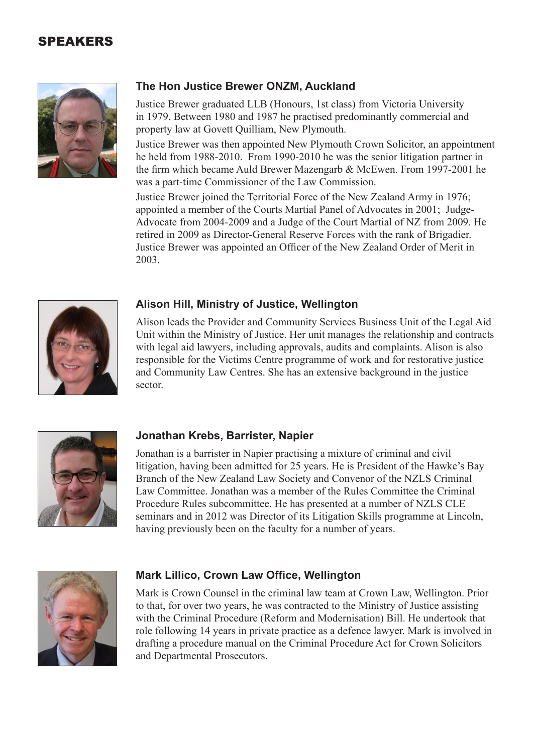# SPEAKERS



## **The Hon Justice Brewer ONZM, Auckland**

Justice Brewer graduated LLB (Honours, 1st class) from Victoria University in 1979. Between 1980 and 1987 he practised predominantly commercial and property law at Govett Quilliam, New Plymouth.

Justice Brewer was then appointed New Plymouth Crown Solicitor, an appointment he held from 1988-2010. From 1990-2010 he was the senior litigation partner in the firm which became Auld Brewer Mazengarb & McEwen. From 1997-2001 he was a part-time Commissioner of the Law Commission.

Justice Brewer joined the Territorial Force of the New Zealand Army in 1976; appointed a member of the Courts Martial Panel of Advocates in 2001; Judge-Advocate from 2004-2009 and a Judge of the Court Martial of NZ from 2009. He retired in 2009 as Director-General Reserve Forces with the rank of Brigadier. Justice Brewer was appointed an Officer of the New Zealand Order of Merit in 2003.



#### **Alison Hill, Ministry of Justice, Wellington**

Alison leads the Provider and Community Services Business Unit of the Legal Aid Unit within the Ministry of Justice. Her unit manages the relationship and contracts with legal aid lawyers, including approvals, audits and complaints. Alison is also responsible for the Victims Centre programme of work and for restorative justice and Community Law Centres. She has an extensive background in the justice sector.



#### **Jonathan Krebs, Barrister, Napier**

Jonathan is a barrister in Napier practising a mixture of criminal and civil litigation, having been admitted for 25 years. He is President of the Hawke's Bay Branch of the New Zealand Law Society and Convenor of the NZLS Criminal Law Committee. Jonathan was a member of the Rules Committee the Criminal Procedure Rules subcommittee. He has presented at a number of NZLS CLE seminars and in 2012 was Director of its Litigation Skills programme at Lincoln, having previously been on the faculty for a number of years.



#### **Mark Lillico, Crown Law Office, Wellington**

Mark is Crown Counsel in the criminal law team at Crown Law, Wellington. Prior to that, for over two years, he was contracted to the Ministry of Justice assisting with the Criminal Procedure (Reform and Modernisation) Bill. He undertook that role following 14 years in private practice as a defence lawyer. Mark is involved in drafting a procedure manual on the Criminal Procedure Act for Crown Solicitors and Departmental Prosecutors.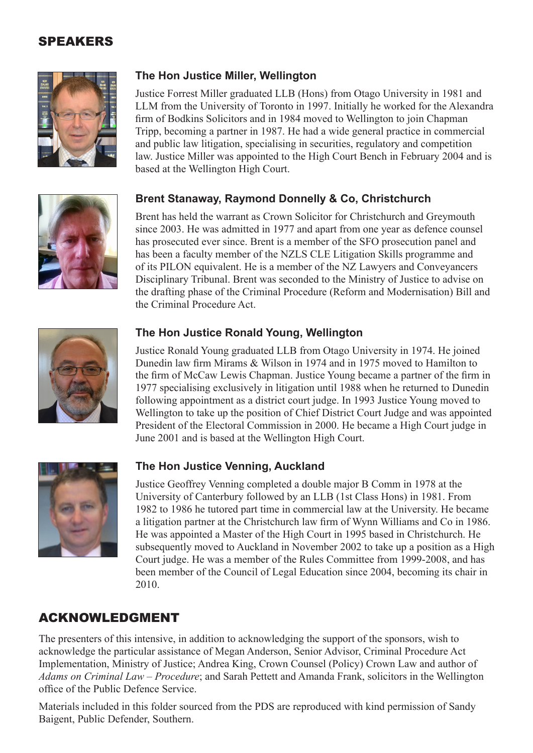# SPEAKERS



## **The Hon Justice Miller, Wellington**

Justice Forrest Miller graduated LLB (Hons) from Otago University in 1981 and LLM from the University of Toronto in 1997. Initially he worked for the Alexandra firm of Bodkins Solicitors and in 1984 moved to Wellington to join Chapman Tripp, becoming a partner in 1987. He had a wide general practice in commercial and public law litigation, specialising in securities, regulatory and competition law. Justice Miller was appointed to the High Court Bench in February 2004 and is based at the Wellington High Court.

## **Brent Stanaway, Raymond Donnelly & Co, Christchurch**

Brent has held the warrant as Crown Solicitor for Christchurch and Greymouth since 2003. He was admitted in 1977 and apart from one year as defence counsel has prosecuted ever since. Brent is a member of the SFO prosecution panel and has been a faculty member of the NZLS CLE Litigation Skills programme and of its PILON equivalent. He is a member of the NZ Lawyers and Conveyancers Disciplinary Tribunal. Brent was seconded to the Ministry of Justice to advise on the drafting phase of the Criminal Procedure (Reform and Modernisation) Bill and the Criminal Procedure Act.



## **The Hon Justice Ronald Young, Wellington**

Justice Ronald Young graduated LLB from Otago University in 1974. He joined Dunedin law firm Mirams & Wilson in 1974 and in 1975 moved to Hamilton to the firm of McCaw Lewis Chapman. Justice Young became a partner of the firm in 1977 specialising exclusively in litigation until 1988 when he returned to Dunedin following appointment as a district court judge. In 1993 Justice Young moved to Wellington to take up the position of Chief District Court Judge and was appointed President of the Electoral Commission in 2000. He became a High Court judge in June 2001 and is based at the Wellington High Court.



## **The Hon Justice Venning, Auckland**

Justice Geoffrey Venning completed a double major B Comm in 1978 at the University of Canterbury followed by an LLB (1st Class Hons) in 1981. From 1982 to 1986 he tutored part time in commercial law at the University. He became a litigation partner at the Christchurch law firm of Wynn Williams and Co in 1986. He was appointed a Master of the High Court in 1995 based in Christchurch. He subsequently moved to Auckland in November 2002 to take up a position as a High Court judge. He was a member of the Rules Committee from 1999-2008, and has been member of the Council of Legal Education since 2004, becoming its chair in 2010.

# ACKNOWLEDGMENT

The presenters of this intensive, in addition to acknowledging the support of the sponsors, wish to acknowledge the particular assistance of Megan Anderson, Senior Advisor, Criminal Procedure Act Implementation, Ministry of Justice; Andrea King, Crown Counsel (Policy) Crown Law and author of *Adams on Criminal Law – Procedure*; and Sarah Pettett and Amanda Frank, solicitors in the Wellington office of the Public Defence Service.

Materials included in this folder sourced from the PDS are reproduced with kind permission of Sandy Baigent, Public Defender, Southern.

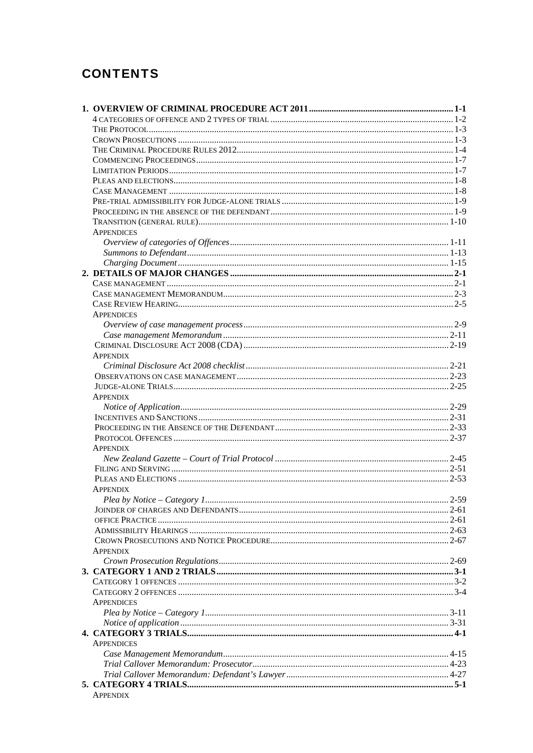# **CONTENTS**

|  | <b>APPENDICES</b> |  |
|--|-------------------|--|
|  |                   |  |
|  |                   |  |
|  |                   |  |
|  |                   |  |
|  |                   |  |
|  |                   |  |
|  |                   |  |
|  | <b>APPENDICES</b> |  |
|  |                   |  |
|  |                   |  |
|  |                   |  |
|  | <b>APPENDIX</b>   |  |
|  |                   |  |
|  |                   |  |
|  |                   |  |
|  | <b>APPENDIX</b>   |  |
|  |                   |  |
|  |                   |  |
|  |                   |  |
|  |                   |  |
|  | <b>APPENDIX</b>   |  |
|  |                   |  |
|  |                   |  |
|  |                   |  |
|  | <b>APPENDIX</b>   |  |
|  |                   |  |
|  |                   |  |
|  |                   |  |
|  |                   |  |
|  |                   |  |
|  | <b>APPENDIX</b>   |  |
|  |                   |  |
|  |                   |  |
|  |                   |  |
|  |                   |  |
|  | <b>APPENDICES</b> |  |
|  |                   |  |
|  |                   |  |
|  |                   |  |
|  | <b>APPENDICES</b> |  |
|  |                   |  |
|  |                   |  |
|  |                   |  |
|  |                   |  |
|  | <b>APPENDIX</b>   |  |